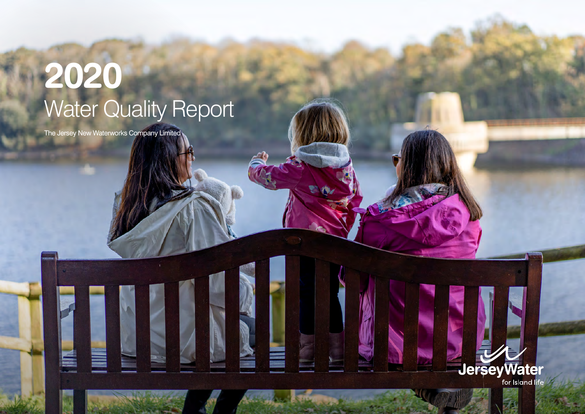## **2020** Water Quality Report

The Jersey New Waterworks Company Limited

E

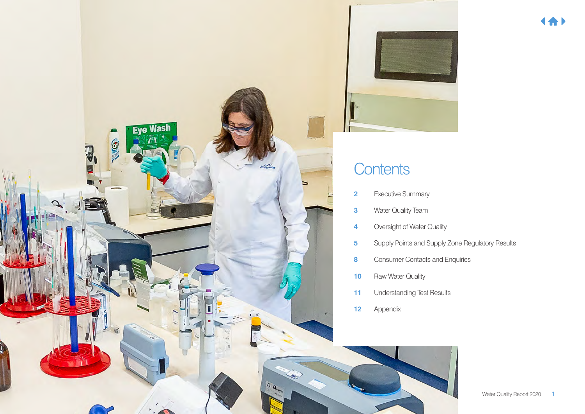



### **Contents**

- Executive Summary
- Water Quality Team
- Oversight of Water Quality
- Supply Points and Supply Zone Regulatory Results
- Consumer Contacts and Enquiries
- Raw Water Quality
- Understanding Test Results
- Appendix

4合)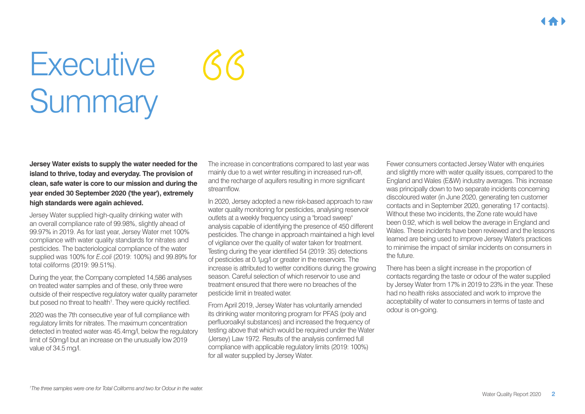## **Executive** Summary

**Jersey Water exists to supply the water needed for the island to thrive, today and everyday. The provision of clean, safe water is core to our mission and during the year ended 30 September 2020 ('the year'), extremely high standards were again achieved.**

Jersey Water supplied high-quality drinking water with an overall compliance rate of 99.98%, slightly ahead of 99.97% in 2019. As for last year, Jersey Water met 100% compliance with water quality standards for nitrates and pesticides. The bacteriological compliance of the water supplied was 100% for *E.coli* (2019: 100%) and 99.89% for total coliforms (2019: 99.51%).

During the year, the Company completed 14,586 analyses on treated water samples and of these, only three were outside of their respective regulatory water quality parameter but posed no threat to health<sup>1</sup>. They were quickly rectified.

2020 was the 7th consecutive year of full compliance with regulatory limits for nitrates. The maximum concentration detected in treated water was 45.4mg/l, below the regulatory limit of 50mg/l but an increase on the unusually low 2019 value of 34.5 mg/l.

The increase in concentrations compared to last year was mainly due to a wet winter resulting in increased run-off, and the recharge of aquifers resulting in more significant streamflow.

 $\mathcal{C}\mathcal{C}$ 

In 2020, Jersey adopted a new risk-based approach to raw water quality monitoring for pesticides, analysing reservoir outlets at a weekly frequency using a "broad sweep" analysis capable of identifying the presence of 450 different pesticides. The change in approach maintained a high level of vigilance over the quality of water taken for treatment. Testing during the year identified 54 (2019: 35) detections of pesticides at 0.1μg/l or greater in the reservoirs. The increase is attributed to wetter conditions during the growing season. Careful selection of which reservoir to use and treatment ensured that there were no breaches of the pesticide limit in treated water.

From April 2019, Jersey Water has voluntarily amended its drinking water monitoring program for PFAS (poly and perfluoroalkyl substances) and increased the frequency of testing above that which would be required under the Water (Jersey) Law 1972. Results of the analysis confirmed full compliance with applicable regulatory limits (2019: 100%) for all water supplied by Jersey Water.

Fewer consumers contacted Jersey Water with enquiries and slightly more with water quality issues, compared to the England and Wales (E&W) industry averages. This increase was principally down to two separate incidents concerning discoloured water (in June 2020, generating ten customer contacts and in September 2020, generating 17 contacts). Without these two incidents, the Zone rate would have been 0.92, which is well below the average in England and Wales. These incidents have been reviewed and the lessons learned are being used to improve Jersey Water's practices to minimise the impact of similar incidents on consumers in the future.

There has been a slight increase in the proportion of contacts regarding the taste or odour of the water supplied by Jersey Water from 17% in 2019 to 23% in the year. These had no health risks associated and work to improve the acceptability of water to consumers in terms of taste and odour is on-going.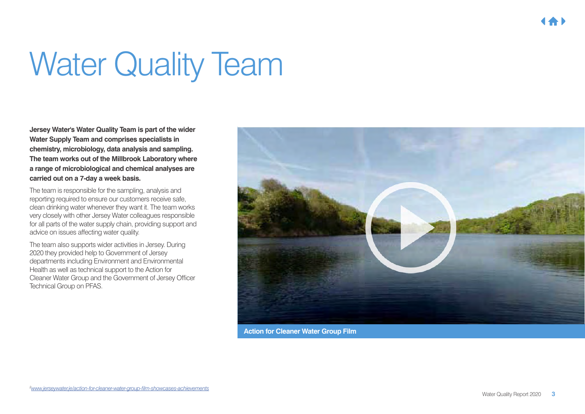## Water Quality Team

**Jersey Water's Water Quality Team is part of the wider Water Supply Team and comprises specialists in chemistry, microbiology, data analysis and sampling. The team works out of the Millbrook Laboratory where a range of microbiological and chemical analyses are carried out on a 7-day a week basis.** 

The team is responsible for the sampling, analysis and reporting required to ensure our customers receive safe, clean drinking water whenever they want it. The team works very closely with other Jersey Water colleagues responsible for all parts of the water supply chain, providing support and advice on issues affecting water quality.

The team also supports wider activities in Jersey. During 2020 they provided help to Government of Jersey departments including Environment and Environmental Health as well as technical support to the Action for Cleaner Water Group and the Government of Jersey Officer Technical Group on PFAS.



**Action for Cleaner Water Group Film**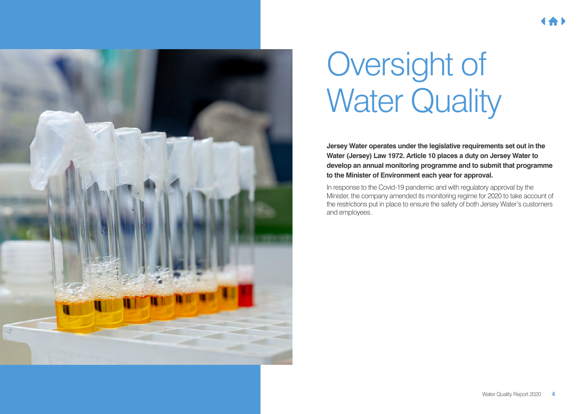

## Oversight of **Water Quality**

**Jersey Water operates under the legislative requirements set out in the Water (Jersey) Law 1972. Article 10 places a duty on Jersey Water to develop an annual monitoring programme and to submit that programme to the Minister of Environment each year for approval.** 

In response to the Covid-19 pandemic and with regulatory approval by the Minister, the company amended its monitoring regime for 2020 to take account of the restrictions put in place to ensure the safety of both Jersey Water's customers and employees.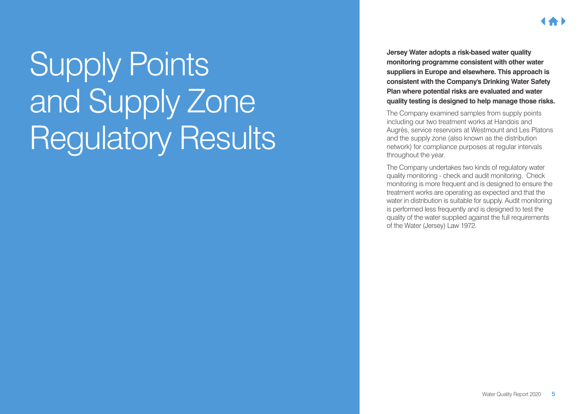# Supply Points and Supply Zone

Regulatory Results

**Jersey Water adopts a risk-based water quality monitoring programme consistent with other water suppliers in Europe and elsewhere. This approach is consistent with the Company's Drinking Water Safety Plan where potential risks are evaluated and water quality testing is designed to help manage those risks.**

The Company examined samples from supply points including our two treatment works at Handois and Augrés, service reservoirs at Westmount and Les Platons and the supply zone (also known as the distribution network) for compliance purposes at regular intervals throughout the year.

The Company undertakes two kinds of regulatory water quality monitoring - check and audit monitoring. Check monitoring is more frequent and is designed to ensure the treatment works are operating as expected and that the water in distribution is suitable for supply. Audit monitoring is performed less frequently and is designed to test the quality of the water supplied against the full requirements of the Water (Jersey) Law 1972.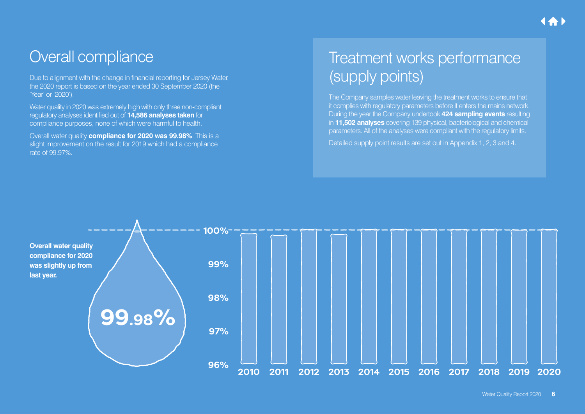### Overall compliance

Due to alignment with the change in financial reporting for Jersey Water, the 2020 report is based on the year ended 30 September 2020 (the 'Year' or '2020').

Water quality in 2020 was extremely high with only three non-compliant regulatory analyses identified out of **14,586 analyses taken** for compliance purposes, none of which were harmful to health.

Overall water quality **compliance for 2020 was 99.98%**. This is a slight improvement on the result for 2019 which had a compliance rate of 99.97%.

## Treatment works performance (supply points)

The Company samples water leaving the treatment works to ensure that it complies with regulatory parameters before it enters the mains network. During the year the Company undertook **424 sampling events** resulting in **11,502 analyses** covering 139 physical, bacteriological and chemical parameters. All of the analyses were compliant with the regulatory limits. Detailed supply point results are set out in Appendix 1, 2, 3 and 4.

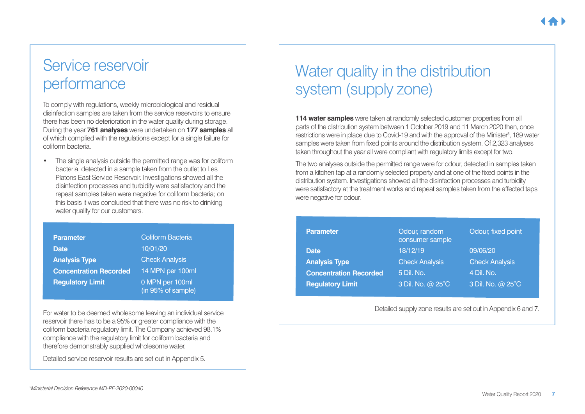### Service reservoir performance

To comply with regulations, weekly microbiological and residual disinfection samples are taken from the service reservoirs to ensure there has been no deterioration in the water quality during storage. During the year **761 analyses** were undertaken on **177 samples** all of which complied with the regulations except for a single failure for coliform bacteria.

• The single analysis outside the permitted range was for coliform bacteria, detected in a sample taken from the outlet to Les Platons East Service Reservoir. Investigations showed all the disinfection processes and turbidity were satisfactory and the repeat samples taken were negative for coliform bacteria; on this basis it was concluded that there was no risk to drinking water quality for our customers.

| <b>Parameter</b>              | <b>Coliform Bacteria</b>              |
|-------------------------------|---------------------------------------|
| <b>Date</b>                   | 10/01/20                              |
| <b>Analysis Type</b>          | <b>Check Analysis</b>                 |
| <b>Concentration Recorded</b> | 14 MPN per 100ml                      |
| <b>Regulatory Limit</b>       | 0 MPN per 100ml<br>(in 95% of sample) |

For water to be deemed wholesome leaving an individual service reservoir there has to be a 95% or greater compliance with the coliform bacteria regulatory limit. The Company achieved 98.1% compliance with the regulatory limit for coliform bacteria and therefore demonstrably supplied wholesome water.

Detailed service reservoir results are set out in Appendix 5.

## Water quality in the distribution system (supply zone)

**114 water samples** were taken at randomly selected customer properties from all parts of the distribution system between 1 October 2019 and 11 March 2020 then, once restrictions were in place due to Covid-19 and with the approval of the Minister<sup>3</sup>, 189 water samples were taken from fixed points around the distribution system. Of 2,323 analyses taken throughout the year all were compliant with regulatory limits except for two.

The two analyses outside the permitted range were for odour, detected in samples taken from a kitchen tap at a randomly selected property and at one of the fixed points in the distribution system. Investigations showed all the disinfection processes and turbidity were satisfactory at the treatment works and repeat samples taken from the affected taps were negative for odour.

| <b>Parameter</b>              | Odour, random<br>consumer sample | Odour, fixed point    |
|-------------------------------|----------------------------------|-----------------------|
| <b>Date</b>                   | 18/12/19                         | 09/06/20              |
| <b>Analysis Type</b>          | <b>Check Analysis</b>            | <b>Check Analysis</b> |
| <b>Concentration Recorded</b> | 5 Dil. No.                       | 4 Dil. No.            |
| <b>Regulatory Limit</b>       | 3 Dil. No. @ 25°C                | 3 Dil. No. @ 25°C     |

Detailed supply zone results are set out in Appendix 6 and 7.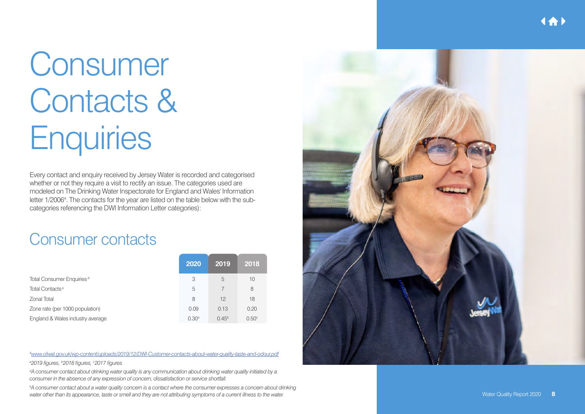## Consumer Contacts & **Enquiries**

Every contact and enquiry received by Jersey Water is recorded and categorised whether or not they require a visit to rectify an issue. The categories used are modeled on The Drinking Water Inspectorate for England and Wales' Information letter 1/2006<sup>4</sup>. The contacts for the year are listed on the table below with the subcategories referencing the DWI Information Letter categories):

### Consumer contacts

|                                       | 2020              | 2019       | 2018              |
|---------------------------------------|-------------------|------------|-------------------|
| Total Consumer Enquiries <sup>d</sup> | 3                 | 5          | 10                |
| Total Contacts <sup>e</sup>           | 5                 |            | 8                 |
| Zonal Total                           | 8                 | 12         | 18                |
| Zone rate (per 1000 population)       | 0.09              | 0.13       | 0.20              |
| England & Wales industry average      | 0.30 <sup>a</sup> | $0.45^{b}$ | 0.50 <sup>c</sup> |

*4 www.ofwat.gov.uk/wp-content/uploads/2019/12/DWI-Customer-contacts-about-water-quality-taste-and-odour.pdf*

*a 2019 figures, b 2018 figures, c 2017 figures*

*d A consumer contact about drinking water quality is any communication about drinking water quality initiated by a consumer in the absence of any expression of concern, dissatisfaction or service shortfall.*

*e A consumer contact about a water quality concern is a contact where the consumer expresses a concern about drinking water other than its appearance, taste or smell and they are not attributing symptoms of a current illness to the water.*

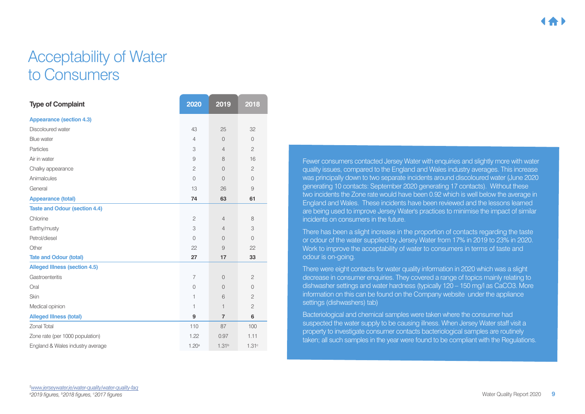### Acceptability of Water to Consumers

| <b>Type of Complaint</b>             | 2020           | 2019              | 2018           |
|--------------------------------------|----------------|-------------------|----------------|
| <b>Appearance (section 4.3)</b>      |                |                   |                |
| Discoloured water                    | 43             | 25                | 32             |
| Blue water                           | $\overline{4}$ | $\Omega$          | $\overline{0}$ |
| Particles                            | 3              | $\overline{4}$    | $\overline{c}$ |
| Air in water                         | $\mathcal{G}$  | 8                 | 16             |
| Chalky appearance                    | $\overline{c}$ | $\overline{0}$    | $\overline{c}$ |
| Animalcules                          | $\overline{0}$ | $\Omega$          | $\overline{0}$ |
| General                              | 13             | 26                | $\mathcal{G}$  |
| <b>Appearance (total)</b>            | 74             | 63                | 61             |
| <b>Taste and Odour (section 4.4)</b> |                |                   |                |
| Chlorine                             | $\overline{c}$ | $\overline{4}$    | 8              |
| Earthy/musty                         | 3              | $\overline{4}$    | 3              |
| Petrol/diesel                        | $\overline{0}$ | $\overline{0}$    | $\overline{0}$ |
| Other                                | 22             | 9                 | 22             |
| <b>Tate and Odour (total)</b>        | 27             | 17                | 33             |
| <b>Alleged Illness (section 4.5)</b> |                |                   |                |
| Gastroenteritis                      | $\overline{7}$ | $\overline{0}$    | $\overline{c}$ |
| Oral                                 | $\mathbf 0$    | $\overline{0}$    | $\overline{0}$ |
| Skin                                 | $\mathbf{1}$   | 6                 | $\overline{c}$ |
| Medical opinion                      | $\mathbf{1}$   | $\mathbf{1}$      | $\overline{c}$ |
| <b>Alleged Illness (total)</b>       | 9              | $\overline{7}$    | 6              |
| <b>Zonal Total</b>                   | 110            | 87                | 100            |
| Zone rate (per 1000 population)      | 1.22           | 0.97              | 1.11           |
| England & Wales industry average     | $1.20^{\rm a}$ | 1.31 <sup>b</sup> | 1.31c          |

Fewer consumers contacted Jersey Water with enquiries and slightly more with water quality issues, compared to the England and Wales industry averages. This increase was principally down to two separate incidents around discoloured water (June 2020 generating 10 contacts: September 2020 generating 17 contacts). Without these two incidents the Zone rate would have been 0.92 which is well below the average in England and Wales. These incidents have been reviewed and the lessons learned are being used to improve Jersey Water's practices to minimise the impact of similar incidents on consumers in the future.

There has been a slight increase in the proportion of contacts regarding the taste or odour of the water supplied by Jersey Water from 17% in 2019 to 23% in 2020. Work to improve the acceptability of water to consumers in terms of taste and odour is on-going.

There were eight contacts for water quality information in 2020 which was a slight decrease in consumer enquiries. They covered a range of topics mainly relating to dishwasher settings and water hardness (typically 120 – 150 mg/l as CaCO3. More information on this can be found on the Company website under the appliance settings (dishwashers) tab)

Bacteriological and chemical samples were taken where the consumer had suspected the water supply to be causing illness. When Jersey Water staff visit a property to investigate consumer contacts bacteriological samples are routinely taken; all such samples in the year were found to be compliant with the Regulations.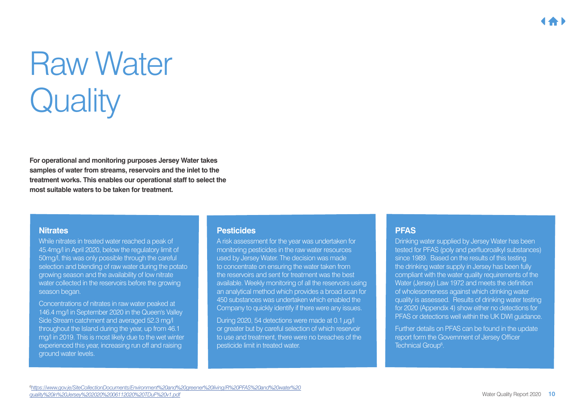## Raw Water **Quality**

**For operational and monitoring purposes Jersey Water takes samples of water from streams, reservoirs and the inlet to the treatment works. This enables our operational staff to select the most suitable waters to be taken for treatment.**

#### **Nitrates**

While nitrates in treated water reached a peak of 45.4mg/l in April 2020, below the regulatory limit of 50mg/l, this was only possible through the careful selection and blending of raw water during the potato growing season and the availability of low nitrate water collected in the reservoirs before the growing season began.

Concentrations of nitrates in raw water peaked at 146.4 mg/l in September 2020 in the Queen's Valley Side Stream catchment and averaged 52.3 mg/l throughout the Island during the year, up from 46.1 mg/l in 2019. This is most likely due to the wet winter experienced this year, increasing run off and raising ground water levels.

#### **Pesticides**

A risk assessment for the year was undertaken for monitoring pesticides in the raw water resources used by Jersey Water. The decision was made to concentrate on ensuring the water taken from the reservoirs and sent for treatment was the best available. Weekly monitoring of all the reservoirs using an analytical method which provides a broad scan for 450 substances was undertaken which enabled the Company to quickly identify if there were any issues.

During 2020, 54 detections were made at 0.1 μg/l or greater but by careful selection of which reservoir to use and treatment, there were no breaches of the pesticide limit in treated water.

#### **PFAS**

Drinking water supplied by Jersey Water has been tested for PFAS (poly and perfluoroalkyl substances) since 1989. Based on the results of this testing the drinking water supply in Jersey has been fully compliant with the water quality requirements of the Water (Jersey) Law 1972 and meets the definition of wholesomeness against which drinking water quality is assessed. Results of drinking water testing for 2020 (Appendix 4) show either no detections for PFAS or detections well within the UK DWI guidance.

Further details on PFAS can be found in the update report form the Government of Jersey Officer Technical Group<sup>6</sup>.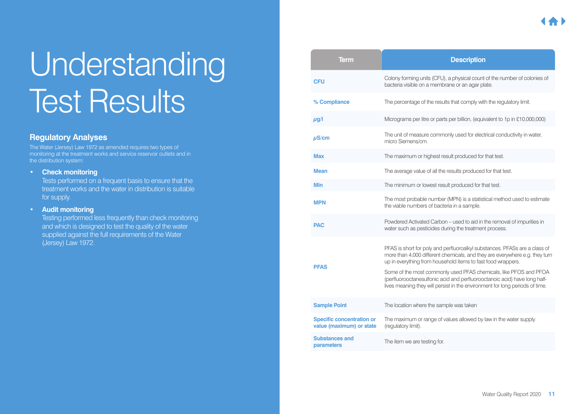## Understanding **Test Results**

#### **Regulatory Analyses**

The Water (Jersey) Law 1972 as amended requires two types of monitoring at the treatment works and service reservoir outlets and in the distribution system:

#### **• Check monitoring**

Tests performed on a frequent basis to ensure that the treatment works and the water in distribution is suitable for supply.

#### **• Audit monitoring**

Testing performed less frequently than check monitoring and which is designed to test the quality of the water supplied against the full requirements of the Water (Jersey) Law 1972.

| <b>Term</b>                                                  | <b>Description</b>                                                                                                                                                                                                                                                                                                                                                                                                                                          |
|--------------------------------------------------------------|-------------------------------------------------------------------------------------------------------------------------------------------------------------------------------------------------------------------------------------------------------------------------------------------------------------------------------------------------------------------------------------------------------------------------------------------------------------|
| <b>CFU</b>                                                   | Colony forming units (CFU), a physical count of the number of colonies of<br>bacteria visible on a membrane or an agar plate.                                                                                                                                                                                                                                                                                                                               |
| % Compliance                                                 | The percentage of the results that comply with the regulatory limit.                                                                                                                                                                                                                                                                                                                                                                                        |
| $\mu$ g/l                                                    | Micrograms per litre or parts per billion, (equivalent to 1p in £10,000,000)                                                                                                                                                                                                                                                                                                                                                                                |
| $\mu$ S/cm                                                   | The unit of measure commonly used for electrical conductivity in water,<br>micro Siemens/cm.                                                                                                                                                                                                                                                                                                                                                                |
| <b>Max</b>                                                   | The maximum or highest result produced for that test.                                                                                                                                                                                                                                                                                                                                                                                                       |
| <b>Mean</b>                                                  | The average value of all the results produced for that test.                                                                                                                                                                                                                                                                                                                                                                                                |
| <b>Min</b>                                                   | The minimum or lowest result produced for that test.                                                                                                                                                                                                                                                                                                                                                                                                        |
| <b>MPN</b>                                                   | The most probable number (MPN) is a statistical method used to estimate<br>the viable numbers of bacteria in a sample.                                                                                                                                                                                                                                                                                                                                      |
| <b>PAC</b>                                                   | Powdered Activated Carbon - used to aid in the removal of impurities in<br>water such as pesticides during the treatment process.                                                                                                                                                                                                                                                                                                                           |
| <b>PFAS</b>                                                  | PFAS is short for poly and perfluoroalkyl substances. PFASs are a class of<br>more than 4,000 different chemicals, and they are everywhere e.g. they turn<br>up in everything from household items to fast food wrappers.<br>Some of the most commonly used PFAS chemicals, like PFOS and PFOA<br>(perfluorooctanesulfonic acid and perfluorooctanoic acid) have long half-<br>lives meaning they will persist in the environment for long periods of time. |
| <b>Sample Point</b>                                          | The location where the sample was taken                                                                                                                                                                                                                                                                                                                                                                                                                     |
| <b>Specific concentration or</b><br>value (maximum) or state | The maximum or range of values allowed by law in the water supply<br>(regulatory limit).                                                                                                                                                                                                                                                                                                                                                                    |
| <b>Substances and</b><br>parameters                          | The item we are testing for.                                                                                                                                                                                                                                                                                                                                                                                                                                |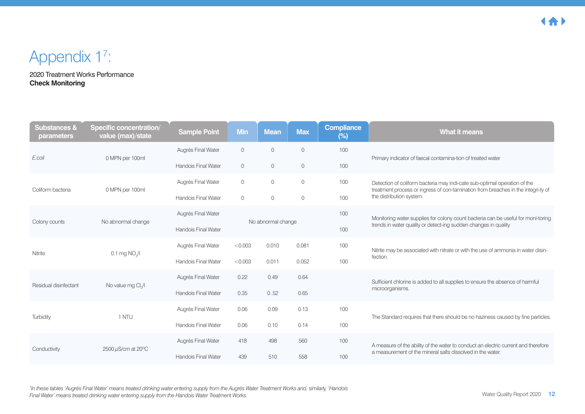### Appendix 1<sup>7</sup>:

2020 Treatment Works Performance **Check Monitoring**

| <b>Substances &amp;</b><br>parameters | <b>Specific concentration/</b><br>value (max)/state | <b>Sample Point</b>        | <b>Min</b>         | <b>Mean</b> | <b>Max</b> | <b>Compliance</b><br>$(\%)$ | <b>What it means</b>                                                                                                                                           |
|---------------------------------------|-----------------------------------------------------|----------------------------|--------------------|-------------|------------|-----------------------------|----------------------------------------------------------------------------------------------------------------------------------------------------------------|
| E.coli                                | 0 MPN per 100ml                                     | Augrés Final Water         | $\overline{0}$     | $\Omega$    | $\Omega$   | 100                         | Primary indicator of faecal contamina-tion of treated water                                                                                                    |
|                                       |                                                     | Handois Final Water        | $\overline{0}$     | $\circ$     | 0          | 100                         |                                                                                                                                                                |
| Coliform bacteria                     | 0 MPN per 100ml                                     | Augrés Final Water         | $\circ$            | $\circ$     | 0          | 100                         | Detection of coliform bacteria may indi-cate sub-optimal operation of the<br>treatment process or ingress of con-tamination from breaches in the integri-ty of |
|                                       |                                                     | <b>Handois Final Water</b> | $\circ$            | $\circ$     | 0          | 100                         | the distribution system.                                                                                                                                       |
| Colony counts                         | No abnormal change                                  |                            | No abnormal change |             |            | 100                         | Monitoring water supplies for colony count bacteria can be useful for moni-toring                                                                              |
|                                       |                                                     | <b>Handois Final Water</b> |                    |             |            | 100                         | trends in water quality or detect-ing sudden changes in quality                                                                                                |
| Nitrite                               | $0.1$ mg NO $\sqrt{1}$                              | Augrés Final Water         | < 0.003            | 0.010       | 0.081      | 100                         | Nitrite may be associated with nitrate or with the use of ammonia in water disin-                                                                              |
|                                       |                                                     | <b>Handois Final Water</b> | < 0.003            | 0.011       | 0.052      | 100                         | fection.                                                                                                                                                       |
| Residual disinfectant                 | No value mg Cl./I                                   | Augrés Final Water         | 0.22               | 0.49        | 0.64       |                             | Sufficient chlorine is added to all supplies to ensure the absence of harmful                                                                                  |
|                                       |                                                     | Handois Final Water        | 0.35               | 0.52        | 0.65       |                             | microorganisms.                                                                                                                                                |
| Turbidity                             | 1 NTU                                               | Augrés Final Water         | 0.06               | 0.09        | 0.13       | 100                         | The Standard requires that there should be no haziness caused by fine particles.                                                                               |
|                                       |                                                     | <b>Handois Final Water</b> | 0.06               | 0.10        | 0.14       | 100                         |                                                                                                                                                                |
| Conductivity                          | $2500 \,\mu\text{S/cm}$ at $20^{\circ}\text{C}$     | Augrés Final Water         | 418                | 498         | 560        | 100                         | A measure of the ability of the water to conduct an electric current and therefore                                                                             |
|                                       |                                                     | <b>Handois Final Water</b> | 439                | 510         | 558        | 100                         | a measurement of the mineral salts dissolved in the water.                                                                                                     |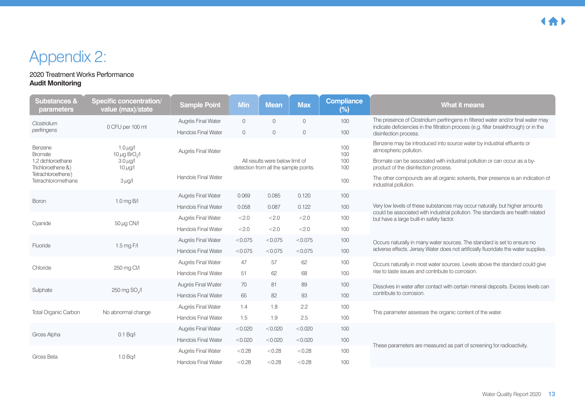## Appendix 2:

#### 2020 Treatment Works Performance **Audit Monitoring**

| <b>Substances &amp;</b><br><b>parameters</b>                          | <b>Specific concentration/</b><br>value (max)/state                         | <b>Sample Point</b>        | <b>Min</b>                                           | <b>Mean</b>    | <b>Max</b>     | <b>Compliance</b><br>$(\%)$                                                                                                                                                                                           | What it means                                                                                                                                                            |
|-----------------------------------------------------------------------|-----------------------------------------------------------------------------|----------------------------|------------------------------------------------------|----------------|----------------|-----------------------------------------------------------------------------------------------------------------------------------------------------------------------------------------------------------------------|--------------------------------------------------------------------------------------------------------------------------------------------------------------------------|
| Clostridium                                                           | 0 CFU per 100 ml                                                            | Augrés Final Water         | $\mathbf{O}$                                         | $\Omega$       | $\overline{0}$ | 100                                                                                                                                                                                                                   | The presence of Clostridium perfringens in filtered water and/or final water may<br>indicate deficiencies in the filtration process (e.g. filter breakthrough) or in the |
| perfringens                                                           |                                                                             | <b>Handois Final Water</b> | $\mathbf{O}$                                         | $\overline{0}$ | $\circ$        | 100                                                                                                                                                                                                                   | disinfection process.                                                                                                                                                    |
| Benzene<br><b>Bromate</b><br>1.2 dichloroethane<br>Trichloroethene &} | $1.0 \mu$ g/l<br>10 $\mu$ g BrO $\sqrt{ }$<br>$3.0 \mu$ g/l<br>$10 \mu g/l$ | Augrés Final Water         | 100<br>100<br>All results were below limit of<br>100 |                | 100            | Benzene may be introduced into source water by industrial effluents or<br>atmospheric pollution.<br>Bromate can be associated with industrial pollution or can occur as a by-<br>product of the disinfection process. |                                                                                                                                                                          |
| Tetrachloroethene}<br>Tetrachloromethane                              | $3 \mu g/l$                                                                 | Handois Final Water        | detection from all the sample points.<br>100         |                |                |                                                                                                                                                                                                                       | The other compounds are all organic solvents, their presence is an indication of<br>industrial pollution.                                                                |
|                                                                       |                                                                             | Augrés Final Water         | 0.069                                                | 0.085          | 0.120          | 100                                                                                                                                                                                                                   |                                                                                                                                                                          |
| Boron                                                                 | $1.0$ mg B/I                                                                | <b>Handois Final Water</b> | 0.058                                                | 0.087          | 0.122          | 100                                                                                                                                                                                                                   | Very low levels of these substances may occur naturally, but higher amounts<br>could be associated with industrial pollution. The standards are health related           |
| Cyanide                                                               | 50 µg CN/I                                                                  | Augrés Final Water         | < 2.0                                                | <2.0           | < 2.0          | 100                                                                                                                                                                                                                   | but have a large built-in safety factor.                                                                                                                                 |
|                                                                       |                                                                             | <b>Handois Final Water</b> | < 2.0                                                | < 2.0          | < 2.0          | 100                                                                                                                                                                                                                   |                                                                                                                                                                          |
| Fluoride                                                              | 1.5 mg $F/I$                                                                | Augrés Final Water         | < 0.075                                              | < 0.075        | < 0.075        | 100                                                                                                                                                                                                                   | Occurs naturally in many water sources. The standard is set to ensure no                                                                                                 |
|                                                                       |                                                                             | <b>Handois Final Water</b> | < 0.075                                              | < 0.075        | < 0.075        | 100                                                                                                                                                                                                                   | adverse effects. Jersey Water does not artificially fluoridate the water supplies.                                                                                       |
| Chloride                                                              | 250 mg Cl/l                                                                 | Augrés Final Water         | 47                                                   | 57             | 62             | 100                                                                                                                                                                                                                   | Occurs naturally in most water sources. Levels above the standard could give                                                                                             |
|                                                                       |                                                                             | <b>Handois Final Water</b> | 51                                                   | 62             | 68             | 100                                                                                                                                                                                                                   | rise to taste issues and contribute to corrosion.                                                                                                                        |
| Sulphate                                                              | 250 mg SO <sub>1</sub> /l                                                   | Augrés Final Water         | 70                                                   | 81             | 89             | 100                                                                                                                                                                                                                   | Dissolves in water after contact with certain mineral deposits. Excess levels can                                                                                        |
|                                                                       |                                                                             | <b>Handois Final Water</b> | 65                                                   | 82             | 93             | 100                                                                                                                                                                                                                   | contribute to corrosion.                                                                                                                                                 |
| <b>Total Organic Carbon</b>                                           | No abnormal change                                                          | Augrés Final Water         | 1.4                                                  | 1.8            | 2.2            | 100                                                                                                                                                                                                                   | This parameter assesses the organic content of the water.                                                                                                                |
|                                                                       |                                                                             | <b>Handois Final Water</b> | 1.5                                                  | 1.9            | 2.5            | 100                                                                                                                                                                                                                   |                                                                                                                                                                          |
| Gross Alpha                                                           | 0.1 Bq/l                                                                    | Augrés Final Water         | < 0.020                                              | < 0.020        | < 0.020        | 100                                                                                                                                                                                                                   |                                                                                                                                                                          |
|                                                                       |                                                                             | <b>Handois Final Water</b> | < 0.020                                              | < 0.020        | < 0.020        | 100                                                                                                                                                                                                                   |                                                                                                                                                                          |
|                                                                       |                                                                             | Augrés Final Water         | < 0.28                                               | < 0.28         | < 0.28         | 100                                                                                                                                                                                                                   | These parameters are measured as part of screening for radioactivity.                                                                                                    |
| Gross Beta                                                            | 1.0 Bq/l                                                                    | <b>Handois Final Water</b> | < 0.28                                               | < 0.28         | < 0.28         | 100                                                                                                                                                                                                                   |                                                                                                                                                                          |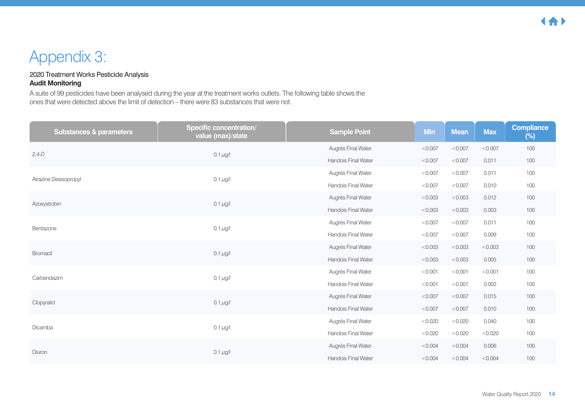## Appendix 3:

#### 2020 Treatment Works Pesticide Analysis **Audit Monitoring**

A suite of 99 pesticides have been analysed during the year at the treatment works outlets. The following table shows the ones that were detected above the limit of detection – there were 83 substances that were not.

| <b>Substances &amp; parameters</b> | <b>Specific concentration/</b><br>value (max)/state | <b>Sample Point</b>        | <b>Min</b> | <b>Mean</b> | <b>Max</b> | <b>Compliance</b><br>$(\%)$ |
|------------------------------------|-----------------------------------------------------|----------------------------|------------|-------------|------------|-----------------------------|
| $2,4-D$                            | $0.1 \mu g/l$                                       | Augrés Final Water         | < 0.007    | < 0.007     | < 0.007    | 100                         |
|                                    |                                                     | <b>Handois Final Water</b> | < 0.007    | < 0.007     | 0.011      | 100                         |
| Atrazine Desisopropyl              | $0.1 \mu g/l$                                       | Augrés Final Water         | < 0.007    | < 0.007     | 0.011      | 100                         |
|                                    |                                                     | Handois Final Water        | < 0.007    | < 0.007     | 0.010      | 100                         |
| Azoxystrobin                       | $0.1 \mu g/l$                                       | Augrés Final Water         | < 0.003    | < 0.003     | 0.012      | 100                         |
|                                    |                                                     | <b>Handois Final Water</b> | < 0.003    | < 0.003     | 0.003      | 100                         |
| Bentazone                          | $0.1 \mu g/l$                                       | Augrés Final Water         | < 0.007    | < 0.007     | 0.011      | 100                         |
|                                    |                                                     | Handois Final Water        | < 0.007    | < 0.007     | 0.009      | 100                         |
| <b>Bromacil</b>                    | $0.1 \,\mu g/l$                                     | Augrés Final Water         | < 0.003    | < 0.003     | < 0.003    | 100                         |
|                                    |                                                     | <b>Handois Final Water</b> | < 0.003    | < 0.003     | 0.005      | 100                         |
| Carbendazim                        | $0.1 \mu g/l$                                       | Augrés Final Water         | < 0.001    | < 0.001     | < 0.001    | 100                         |
|                                    |                                                     | Handois Final Water        | < 0.001    | < 0.001     | 0.002      | 100                         |
| Clopyralid                         | $0.1 \mu g/l$                                       | Augrés Final Water         | < 0.007    | < 0.007     | 0.015      | 100                         |
|                                    |                                                     | <b>Handois Final Water</b> | < 0.007    | < 0.007     | 0.010      | 100                         |
| Dicamba                            | $0.1 \mu g/l$                                       | Augrés Final Water         | < 0.020    | < 0.020     | 0.040      | 100                         |
|                                    |                                                     | Handois Final Water        | < 0.020    | < 0.020     | < 0.020    | 100                         |
| Diuron                             |                                                     | Augrés Final Water         | < 0.004    | < 0.004     | 0.006      | 100                         |
|                                    | $0.1 \mu g/l$                                       | <b>Handois Final Water</b> | < 0.004    | < 0.004     | < 0.004    | 100                         |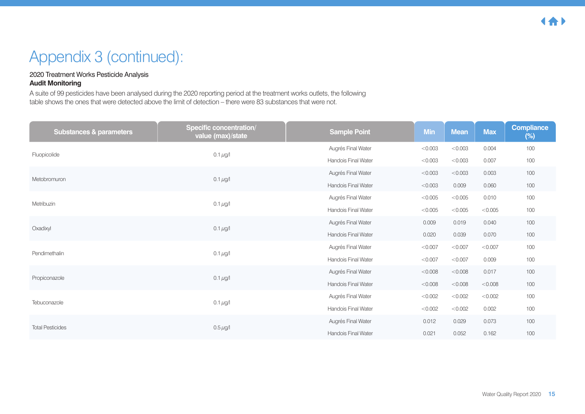## Appendix 3 (continued):

#### 2020 Treatment Works Pesticide Analysis **Audit Monitoring**

A suite of 99 pesticides have been analysed during the 2020 reporting period at the treatment works outlets, the following table shows the ones that were detected above the limit of detection – there were 83 substances that were not.

| <b>Substances &amp; parameters</b> | <b>Specific concentration/</b><br>value (max)/state | <b>Sample Point</b>        | <b>Min</b> | <b>Mean</b> | <b>Max</b> | <b>Compliance</b><br>$(\%)$ |
|------------------------------------|-----------------------------------------------------|----------------------------|------------|-------------|------------|-----------------------------|
| Fluopicolide                       | $0.1 \,\mu g/l$                                     | Augrés Final Water         | < 0.003    | < 0.003     | 0.004      | 100                         |
|                                    |                                                     | <b>Handois Final Water</b> | < 0.003    | < 0.003     | 0.007      | 100                         |
| Metobromuron                       | $0.1 \,\mu g/l$                                     | Augrés Final Water         | < 0.003    | < 0.003     | 0.003      | 100                         |
|                                    |                                                     | <b>Handois Final Water</b> | < 0.003    | 0.009       | 0.060      | 100                         |
| Metribuzin                         | $0.1 \,\mu g/l$                                     | Augrés Final Water         | < 0.005    | < 0.005     | 0.010      | 100                         |
|                                    |                                                     | <b>Handois Final Water</b> | < 0.005    | < 0.005     | < 0.005    | 100                         |
| Oxadixyl                           | $0.1 \mu g/l$                                       | Augrés Final Water         | 0.009      | 0.019       | 0.040      | 100                         |
|                                    |                                                     | <b>Handois Final Water</b> | 0.020      | 0.039       | 0.070      | 100                         |
| Pendimethalin                      | $0.1 \,\mu g/l$                                     | Augrés Final Water         | < 0.007    | < 0.007     | < 0.007    | 100                         |
|                                    |                                                     | <b>Handois Final Water</b> | < 0.007    | < 0.007     | 0.009      | 100                         |
| Propiconazole                      | $0.1 \mu g/l$                                       | Augrés Final Water         | < 0.008    | < 0.008     | 0.017      | 100                         |
|                                    |                                                     | <b>Handois Final Water</b> | < 0.008    | < 0.008     | < 0.008    | 100                         |
| Tebuconazole                       | $0.1 \,\mu g/l$                                     | Augrés Final Water         | < 0.002    | < 0.002     | < 0.002    | 100                         |
|                                    |                                                     | <b>Handois Final Water</b> | < 0.002    | < 0.002     | 0.002      | 100                         |
| <b>Total Pesticides</b>            | $0.5 \,\mu$ g/l                                     | Augrés Final Water         | 0.012      | 0.029       | 0.073      | 100                         |
|                                    |                                                     | <b>Handois Final Water</b> | 0.021      | 0.052       | 0.162      | 100                         |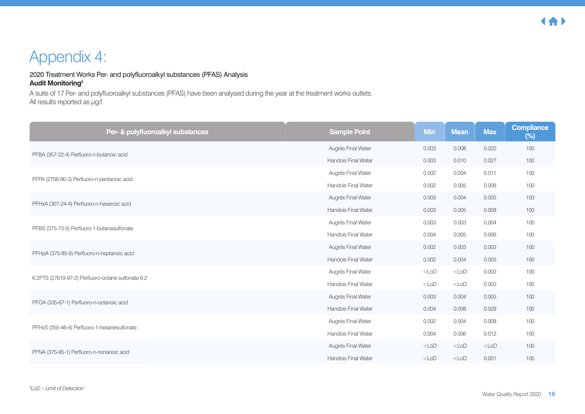## Appendix 4:

#### 2020 Treatment Works Per- and polyfluoroalkyl substances (PFAS) Analysis **Audit Monitoring**<sup>8</sup>

A suite of 17 Per- and polyfluoroalkyl substances (PFAS) have been analysed during the year at the treatment works outlets. All results reported as  $\mu$ g/l.

| Per- & polyfluoroalkyl substances                  | <b>Sample Point</b>        | <b>Min</b> | <b>Mean</b> | <b>Max</b> | <b>Compliance</b><br>$(\%)$ |
|----------------------------------------------------|----------------------------|------------|-------------|------------|-----------------------------|
| PFBA (357-22-4) Perfluoro-n-butanoic acid          | Augrés Final Water         | 0.003      | 0.008       | 0.022      | 100                         |
|                                                    | <b>Handois Final Water</b> | 0.003      | 0.010       | 0.027      | 100                         |
| PFPA (2706-90-3) Perfluoro-n-pentanoic acid        | Augrés Final Water         | 0.002      | 0.004       | 0.011      | 100                         |
|                                                    | <b>Handois Final Water</b> | 0.002      | 0.005       | 0.008      | 100                         |
| PFHxA (307-24-4) Perfluoro-n-hexanoic acid         | Augrés Final Water         | 0.003      | 0.004       | 0.005      | 100                         |
|                                                    | <b>Handois Final Water</b> | 0.003      | 0.005       | 0.008      | 100                         |
| PFBS (375-73-5) Perfluoro-1-butanesulfonate        | Augrés Final Water         | 0.003      | 0.003       | 0.004      | 100                         |
|                                                    | Handois Final Water        | 0.004      | 0.005       | 0.006      | 100                         |
| PFHpA (375-85-9) Perfluoro-n-heptanoic acid        | Augrés Final Water         | 0.002      | 0.003       | 0.003      | 100                         |
|                                                    | <b>Handois Final Water</b> | 0.002      | 0.004       | 0.005      | 100                         |
| 6:2PTS (27619-97-2) Perfluoro-octane sulfonate 6:2 | Augrés Final Water         | $<$ LoD    | $<$ LoD     | 0.002      | 100                         |
|                                                    | <b>Handois Final Water</b> | $<$ LoD    | $<$ LoD     | 0.003      | 100                         |
| PFOA (335-67-1) Perfluoro-n-octanoic acid          | Augrés Final Water         | 0.003      | 0.004       | 0.005      | 100                         |
|                                                    | <b>Handois Final Water</b> | 0.004      | 0.008       | 0.029      | 100                         |
|                                                    | Augrés Final Water         | 0.002      | 0.004       | 0.008      | 100                         |
| PFHxS (355-46-4) Perfluoro-1-hexanesulfonate       | <b>Handois Final Water</b> | 0.004      | 0.006       | 0.012      | 100                         |
|                                                    | Augrés Final Water         | $<$ LoD    | $<$ LoD     | $<$ LoD    | 100                         |
| PFNA (375-95-1) Perfluoro-n-nonanoic acid          | <b>Handois Final Water</b> | $<$ LoD    | $<$ LoD     | 0.001      | 100                         |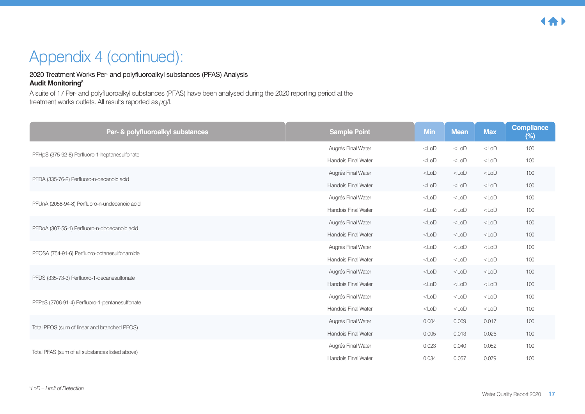## Appendix 4 (continued):

#### 2020 Treatment Works Per- and polyfluoroalkyl substances (PFAS) Analysis **Audit Monitoring**<sup>8</sup>

A suite of 17 Per- and polyfluoroalkyl substances (PFAS) have been analysed during the 2020 reporting period at the treatment works outlets. All results reported as  $\mu$ g/l.

| Per- & polyfluoroalkyl substances               | <b>Sample Point</b>        | <b>Min</b> | <b>Mean</b> | <b>Max</b> | Compliance<br>$(\%)$ |
|-------------------------------------------------|----------------------------|------------|-------------|------------|----------------------|
| PFHpS (375-92-8) Perfluoro-1-heptanesulfonate   | Augrés Final Water         | $<$ LoD    | $<$ LoD     | $<$ LoD    | 100                  |
|                                                 | <b>Handois Final Water</b> | $<$ LoD    | $<$ LoD     | $<$ LoD    | 100                  |
| PFDA (335-76-2) Perfluoro-n-decanoic acid       | Augrés Final Water         | $<$ LoD    | $<$ LoD     | $<$ LoD    | 100                  |
|                                                 | <b>Handois Final Water</b> | $<$ LoD    | $<$ LoD     | $<$ LoD    | 100                  |
| PFUnA (2058-94-8) Perfluoro-n-undecanoic acid   | Augrés Final Water         | $<$ LoD    | $<$ LoD     | $<$ LoD    | 100                  |
|                                                 | <b>Handois Final Water</b> | $<$ LoD    | $<$ LoD     | $<$ LoD    | 100                  |
|                                                 | Augrés Final Water         | $<$ LoD    | $<$ LoD     | $<$ LoD    | 100                  |
| PFDoA (307-55-1) Perfluoro-n-dodecanoic acid    | <b>Handois Final Water</b> | $<$ LoD    | $<$ LoD     | $<$ LoD    | 100                  |
|                                                 | Augrés Final Water         | $<$ LoD    | $<$ LoD     | $<$ LoD    | 100                  |
| PFOSA (754-91-6) Perfluoro-octanesulfonamide    | <b>Handois Final Water</b> | $<$ LoD    | $<$ LoD     | $<$ LoD    | 100                  |
| PFDS (335-73-3) Perfluoro-1-decanesulfonate     | Augrés Final Water         | $<$ LoD    | $<$ LoD     | $<$ LoD    | 100                  |
|                                                 | <b>Handois Final Water</b> | $<$ LoD    | $<$ LoD     | $<$ LoD    | 100                  |
|                                                 | Augrés Final Water         | $<$ LoD    | $<$ LoD     | $<$ LoD    | 100                  |
| PFPeS (2706-91-4) Perfluoro-1-pentanesulfonate  | <b>Handois Final Water</b> | $<$ LoD    | $<$ LoD     | $<$ LoD    | 100                  |
|                                                 | Augrés Final Water         | 0.004      | 0.009       | 0.017      | 100                  |
| Total PFOS (sum of linear and branched PFOS)    | <b>Handois Final Water</b> | 0.005      | 0.013       | 0.026      | 100                  |
|                                                 | Augrés Final Water         | 0.023      | 0.040       | 0.052      | 100                  |
| Total PFAS (sum of all substances listed above) | <b>Handois Final Water</b> | 0.034      | 0.057       | 0.079      | 100                  |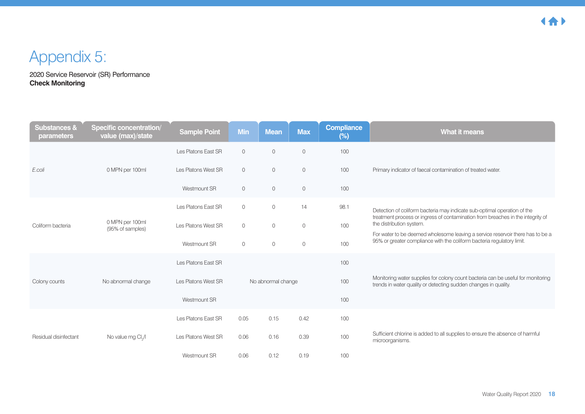## Appendix 5:

2020 Service Reservoir (SR) Performance **Check Monitoring**

| <b>Substances &amp;</b><br>parameters | Specific concentration/<br>value (max)/state | <b>Sample Point</b> | <b>Min</b> | <b>Mean</b>        | <b>Max</b> | <b>Compliance</b><br>$(\%)$ | <b>What it means</b>                                                                                                                                        |
|---------------------------------------|----------------------------------------------|---------------------|------------|--------------------|------------|-----------------------------|-------------------------------------------------------------------------------------------------------------------------------------------------------------|
|                                       |                                              | Les Platons East SR | $\circ$    | $\mathbf{0}$       | $\circ$    | 100                         |                                                                                                                                                             |
| E.coli                                | 0 MPN per 100ml                              | Les Platons West SR | $\circ$    | $\overline{0}$     | $\circ$    | 100                         | Primary indicator of faecal contamination of treated water.                                                                                                 |
|                                       |                                              | Westmount SR        | $\circ$    | $\overline{0}$     | $\circ$    | 100                         |                                                                                                                                                             |
|                                       |                                              | Les Platons East SR | $\circ$    | $\circ$            | 14         | 98.1                        | Detection of coliform bacteria may indicate sub-optimal operation of the<br>treatment process or ingress of contamination from breaches in the integrity of |
| 0 MPN per 100ml<br>Coliform bacteria  | (95% of samples)                             | Les Platons West SR | $\circ$    | $\mathbf{0}$       | $\circ$    | 100                         | the distribution system.                                                                                                                                    |
|                                       |                                              | Westmount SR        | $\circ$    | $\circ$            | $\circ$    | 100                         | For water to be deemed wholesome leaving a service reservoir there has to be a<br>95% or greater compliance with the coliform bacteria regulatory limit.    |
|                                       |                                              | Les Platons East SR |            |                    |            | 100                         |                                                                                                                                                             |
| Colony counts                         | No abnormal change                           | Les Platons West SR |            | No abnormal change |            | 100                         | Monitoring water supplies for colony count bacteria can be useful for monitoring<br>trends in water quality or detecting sudden changes in quality.         |
|                                       |                                              | Westmount SR        |            |                    |            | 100                         |                                                                                                                                                             |
|                                       |                                              | Les Platons East SR | 0.05       | 0.15               | 0.42       | 100                         |                                                                                                                                                             |
| Residual disinfectant                 | No value mg Cl <sub>2</sub> /I               | Les Platons West SR | 0.06       | 0.16               | 0.39       | 100                         | Sufficient chlorine is added to all supplies to ensure the absence of harmful<br>microorganisms.                                                            |
|                                       |                                              | Westmount SR        | 0.06       | 0.12               | 0.19       | 100                         |                                                                                                                                                             |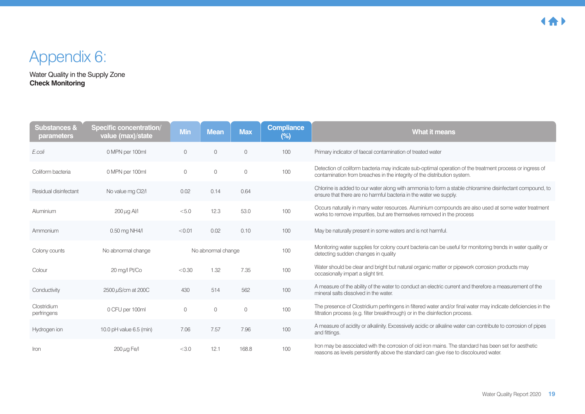## Appendix 6:

Water Quality in the Supply Zone **Check Monitoring**

| <b>Substances &amp;</b><br>parameters | <b>Specific concentration/</b><br>value (max)/state | <b>Min</b>   | <b>Mean</b>        | <b>Max</b>   | <b>Compliance</b><br>$(\%)$ | <b>What it means</b>                                                                                                                                                                           |
|---------------------------------------|-----------------------------------------------------|--------------|--------------------|--------------|-----------------------------|------------------------------------------------------------------------------------------------------------------------------------------------------------------------------------------------|
| E.coli                                | 0 MPN per 100ml                                     | $\circ$      | $\circ$            | $\circ$      | 100                         | Primary indicator of faecal contamination of treated water                                                                                                                                     |
| Coliform bacteria                     | 0 MPN per 100ml                                     | $\mathbf{0}$ | $\circ$            | $\mathbf{0}$ | 100                         | Detection of coliform bacteria may indicate sub-optimal operation of the treatment process or ingress of<br>contamination from breaches in the integrity of the distribution system.           |
| Residual disinfectant                 | No value mg Cl2/I                                   | 0.02         | 0.14               | 0.64         |                             | Chlorine is added to our water along with ammonia to form a stable chloramine disinfectant compound, to<br>ensure that there are no harmful bacteria in the water we supply.                   |
| Aluminium                             | $200 \mu$ g Al/l                                    | < 5.0        | 12.3               | 53.0         | 100                         | Occurs naturally in many water resources. Aluminium compounds are also used at some water treatment<br>works to remove impurities, but are themselves removed in the process                   |
| Ammonium                              | 0.50 mg NH4/l                                       | < 0.01       | 0.02               | 0.10         | 100                         | May be naturally present in some waters and is not harmful.                                                                                                                                    |
| Colony counts                         | No abnormal change                                  |              | No abnormal change |              | 100                         | Monitoring water supplies for colony count bacteria can be useful for monitoring trends in water quality or<br>detecting sudden changes in quality                                             |
| Colour                                | 20 mg/l Pt/Co                                       | < 0.30       | 1.32               | 7.35         | 100                         | Water should be clear and bright but natural organic matter or pipework corrosion products may<br>occasionally impart a slight tint.                                                           |
| Conductivity                          | 2500 µS/cm at 200C                                  | 430          | 514                | 562          | 100                         | A measure of the ability of the water to conduct an electric current and therefore a measurement of the<br>mineral salts dissolved in the water.                                               |
| Clostridium<br>perfringens            | 0 CFU per 100ml                                     | $\circ$      | $\circ$            | $\circ$      | 100                         | The presence of Clostridium perfringens in filtered water and/or final water may indicate deficiencies in the<br>filtration process (e.g. filter breakthrough) or in the disinfection process. |
| Hydrogen ion                          | 10.0 pH value 6.5 (min)                             | 7.06         | 7.57               | 7.96         | 100                         | A measure of acidity or alkalinity. Excessively acidic or alkaline water can contribute to corrosion of pipes<br>and fittings.                                                                 |
| Iron                                  | $200 \mu$ g Fe/I                                    | < 3.0        | 12.1               | 168.8        | 100                         | Iron may be associated with the corrosion of old iron mains. The standard has been set for aesthetic<br>reasons as levels persistently above the standard can give rise to discoloured water.  |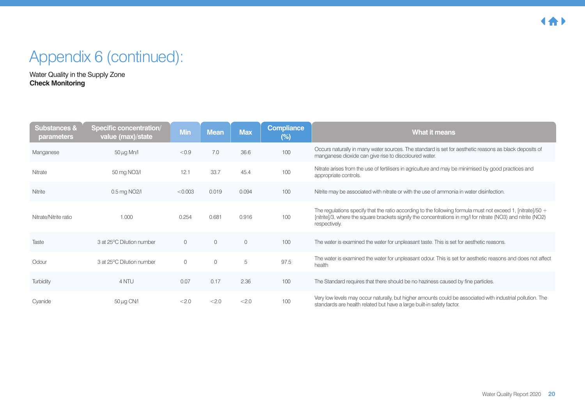## Appendix 6 (continued):

Water Quality in the Supply Zone **Check Monitoring**

| <b>Substances &amp;</b><br>parameters | Specific concentration/<br>value (max)/state | <b>Min</b>     | <b>Mean</b> | <b>Max</b>   | <b>Compliance</b><br>$(\%)$ | <b>What it means</b>                                                                                                                                                                                                                            |
|---------------------------------------|----------------------------------------------|----------------|-------------|--------------|-----------------------------|-------------------------------------------------------------------------------------------------------------------------------------------------------------------------------------------------------------------------------------------------|
| Manganese                             | $50 \mu g$ Mn/I                              | < 0.9          | 7.0         | 36.6         | 100                         | Occurs naturally in many water sources. The standard is set for aesthetic reasons as black deposits of<br>manganese dioxide can give rise to discoloured water.                                                                                 |
| Nitrate                               | 50 mg NO3/I                                  | 12.1           | 33.7        | 45.4         | 100                         | Nitrate arises from the use of fertilisers in agriculture and may be minimised by good practices and<br>appropriate controls.                                                                                                                   |
| Nitrite                               | 0.5 mg NO2/I                                 | < 0.003        | 0.019       | 0.094        | 100                         | Nitrite may be associated with nitrate or with the use of ammonia in water disinfection.                                                                                                                                                        |
| Nitrate/Nitrite ratio                 | 1.000                                        | 0.254          | 0.681       | 0.916        | 100                         | The regulations specify that the ratio according to the following formula must not exceed 1, [nitrate]/50 $+$<br>[nitrite]/3, where the square brackets signify the concentrations in mg/l for nitrate (NO3) and nitrite (NO2)<br>respectively. |
| Taste                                 | 3 at 25°C Dilution number                    | $\overline{0}$ | $\circ$     | $\mathbf{0}$ | 100                         | The water is examined the water for unpleasant taste. This is set for aesthetic reasons.                                                                                                                                                        |
| Odour                                 | 3 at 25°C Dilution number                    | $\circ$        | $\mathbf 0$ | 5            | 97.5                        | The water is examined the water for unpleasant odour. This is set for aesthetic reasons and does not affect<br>health                                                                                                                           |
| Turbidity                             | 4 NTU                                        | 0.07           | 0.17        | 2.36         | 100                         | The Standard requires that there should be no haziness caused by fine particles.                                                                                                                                                                |
| Cyanide                               | 50 $\mu$ g CN/I                              | < 2.0          | < 2.0       | < 2.0        | 100                         | Very low levels may occur naturally, but higher amounts could be associated with industrial pollution. The<br>standards are health related but have a large built-in safety factor.                                                             |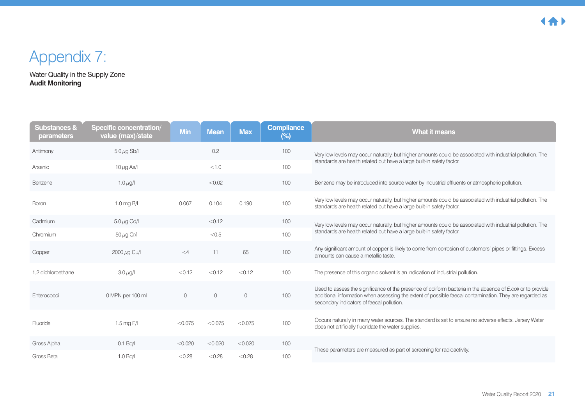## Appendix 7:

Water Quality in the Supply Zone **Audit Monitoring**

| <b>Substances &amp;</b><br>parameters | <b>Specific concentration/</b><br>value (max)/state | <b>Min</b>  | <b>Mean</b> | <b>Max</b>   | <b>Compliance</b><br>$(\%)$ | <b>What it means</b>                                                                                                                                                                                                                                                |
|---------------------------------------|-----------------------------------------------------|-------------|-------------|--------------|-----------------------------|---------------------------------------------------------------------------------------------------------------------------------------------------------------------------------------------------------------------------------------------------------------------|
| Antimony                              | $5.0 \mu$ g Sb/I                                    |             | 0.2         |              | 100                         | Very low levels may occur naturally, but higher amounts could be associated with industrial pollution. The                                                                                                                                                          |
| Arsenic                               | $10 \mu g$ As/I                                     |             | < 1.0       |              | 100                         | standards are health related but have a large built-in safety factor.                                                                                                                                                                                               |
| Benzene                               | 1.0 $\mu$ g/l                                       |             | < 0.02      |              | 100                         | Benzene may be introduced into source water by industrial effluents or atmospheric pollution.                                                                                                                                                                       |
| Boron                                 | $1.0$ mg B/I                                        | 0.067       | 0.104       | 0.190        | 100                         | Very low levels may occur naturally, but higher amounts could be associated with industrial pollution. The<br>standards are health related but have a large built-in safety factor.                                                                                 |
| Cadmium                               | $5.0 \mu g$ Cd/I                                    |             | < 0.12      |              | 100                         | Very low levels may occur naturally, but higher amounts could be associated with industrial pollution. The                                                                                                                                                          |
| Chromium                              | $50 \mu g$ Cr/I                                     |             | < 0.5       |              | 100                         | standards are health related but have a large built-in safety factor.                                                                                                                                                                                               |
| Copper                                | 2000 µg Cu/l                                        | $<$ 4       | 11          | 65           | 100                         | Any significant amount of copper is likely to come from corrosion of customers' pipes or fittings. Excess<br>amounts can cause a metallic taste.                                                                                                                    |
| 1.2 dichloroethane                    | $3.0 \mu$ g/l                                       | < 0.12      | < 0.12      | < 0.12       | 100                         | The presence of this organic solvent is an indication of industrial pollution.                                                                                                                                                                                      |
| Enterococci                           | 0 MPN per 100 ml                                    | $\mathbf 0$ | $\circ$     | $\mathbf{0}$ | 100                         | Used to assess the significance of the presence of coliform bacteria in the absence of E.coli or to provide<br>additional information when assessing the extent of possible faecal contamination. They are regarded as<br>secondary indicators of faecal pollution. |
| Fluoride                              | $1.5 \,\mathrm{mg}$ F/I                             | < 0.075     | < 0.075     | < 0.075      | 100                         | Occurs naturally in many water sources. The standard is set to ensure no adverse effects. Jersey Water<br>does not artificially fluoridate the water supplies.                                                                                                      |
| Gross Alpha                           | 0.1 Bq/l                                            | < 0.020     | < 0.020     | < 0.020      | 100                         | These parameters are measured as part of screening for radioactivity.                                                                                                                                                                                               |
| Gross Beta                            | 1.0 Bq/l                                            | < 0.28      | < 0.28      | < 0.28       | 100                         |                                                                                                                                                                                                                                                                     |